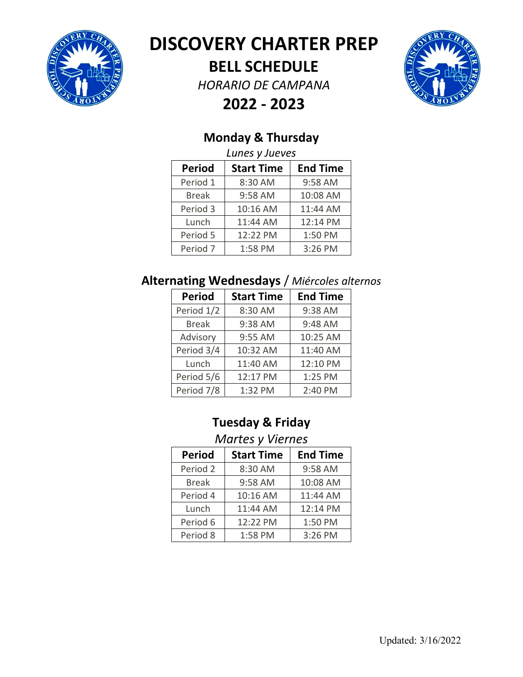

## **DISCOVERY CHARTER PREP**

**BELL SCHEDULE**

*HORARIO DE CAMPANA*



**2022 ‐ 2023**

### **Monday & Thursday**

|               | Lunes y Jueves    |                 |
|---------------|-------------------|-----------------|
| <b>Period</b> | <b>Start Time</b> | <b>End Time</b> |
| Period 1      | 8:30 AM           | 9:58 AM         |
| <b>Break</b>  | 9:58 AM           | 10:08 AM        |
| Period 3      | 10:16 AM          | 11:44 AM        |
| Lunch         | 11:44 AM          | 12:14 PM        |
| Period 5      | 12:22 PM          | 1:50 PM         |
| Period 7      | 1:58 PM           | 3:26 PM         |

#### **Alternating Wednesdays** / *Miércoles alternos*

| <b>Period</b> | <b>Start Time</b> | <b>End Time</b> |
|---------------|-------------------|-----------------|
| Period 1/2    | 8:30 AM           | 9:38 AM         |
| <b>Break</b>  | 9:38 AM           | 9:48 AM         |
| Advisory      | 9:55 AM           | 10:25 AM        |
| Period 3/4    | 10:32 AM          | 11:40 AM        |
| Lunch         | 11:40 AM          | 12:10 PM        |
| Period 5/6    | 12:17 PM          | 1:25 PM         |
| Period 7/8    | 1:32 PM           | 2:40 PM         |

### **Tuesday & Friday**

#### *Martes y Viernes*

| <b>Period</b> | <b>Start Time</b> | <b>End Time</b> |
|---------------|-------------------|-----------------|
| Period 2      | 8:30 AM           | 9:58 AM         |
| <b>Break</b>  | 9:58 AM           | 10:08 AM        |
| Period 4      | 10:16 AM          | 11:44 AM        |
| Lunch         | 11:44 AM          | 12:14 PM        |
| Period 6      | 12:22 PM          | 1:50 PM         |
| Period 8      | 1:58 PM           | 3:26 PM         |